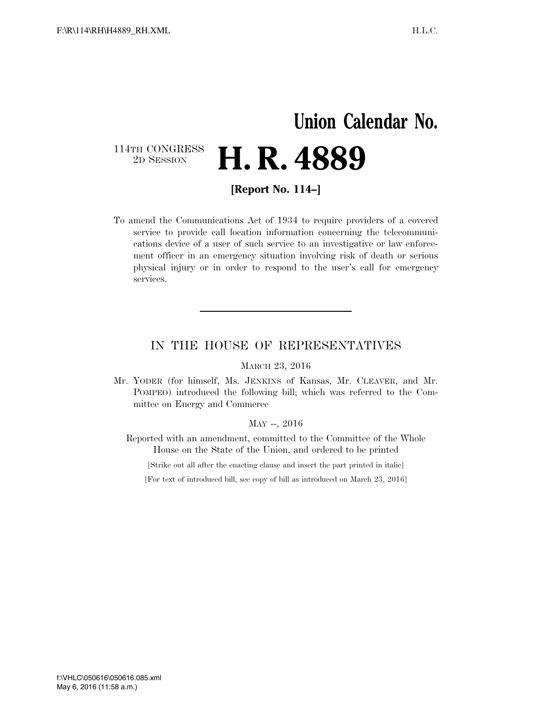## **Union Calendar No.**  114TH CONGRESS<br>2D SESSION 2D SESSION **H. R. 4889**

**[Report No. 114–]** 

To amend the Communications Act of 1934 to require providers of a covered service to provide call location information concerning the telecommunications device of a user of such service to an investigative or law enforcement officer in an emergency situation involving risk of death or serious physical injury or in order to respond to the user's call for emergency services.

### IN THE HOUSE OF REPRESENTATIVES

#### MARCH 23, 2016

Mr. YODER (for himself, Ms. JENKINS of Kansas, Mr. CLEAVER, and Mr. POMPEO) introduced the following bill; which was referred to the Committee on Energy and Commerce

#### MAY --, 2016

Reported with an amendment, committed to the Committee of the Whole House on the State of the Union, and ordered to be printed

[Strike out all after the enacting clause and insert the part printed in italic]

[For text of introduced bill, see copy of bill as introduced on March 23, 2016]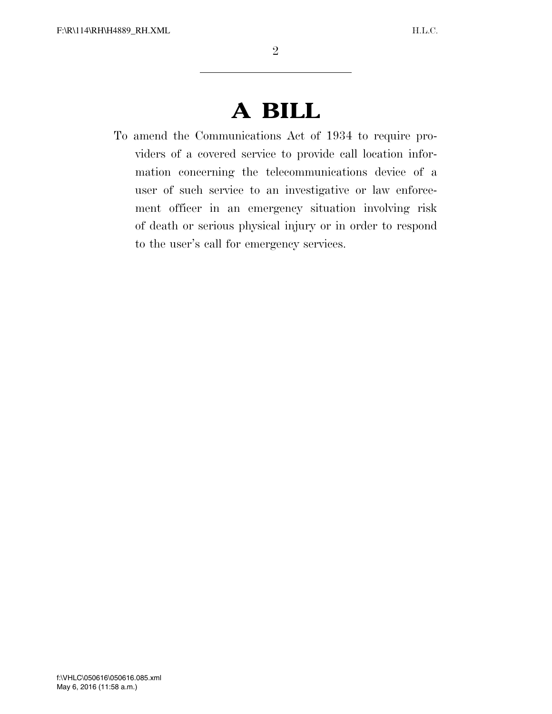# **A BILL**

To amend the Communications Act of 1934 to require providers of a covered service to provide call location information concerning the telecommunications device of a user of such service to an investigative or law enforcement officer in an emergency situation involving risk of death or serious physical injury or in order to respond to the user's call for emergency services.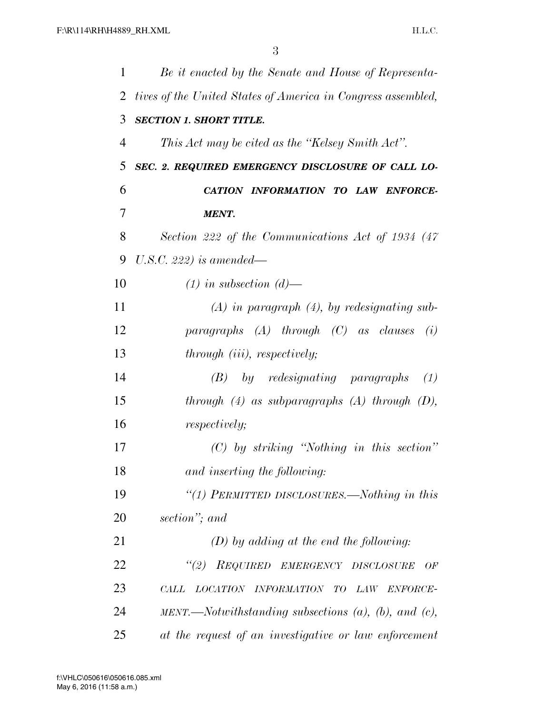| 1  | Be it enacted by the Senate and House of Representa-                          |
|----|-------------------------------------------------------------------------------|
| 2  | tives of the United States of America in Congress assembled,                  |
| 3  | <b>SECTION 1. SHORT TITLE.</b>                                                |
| 4  | This Act may be cited as the "Kelsey Smith Act".                              |
| 5  | SEC. 2. REQUIRED EMERGENCY DISCLOSURE OF CALL LO-                             |
| 6  | CATION INFORMATION TO LAW ENFORCE-                                            |
| 7  | <b>MENT.</b>                                                                  |
| 8  | Section 222 of the Communications Act of 1934 (47)                            |
| 9  | U.S.C. 222) is amended—                                                       |
| 10 | $(1)$ in subsection $(d)$ —                                                   |
| 11 | $(A)$ in paragraph $(4)$ , by redesignating sub-                              |
| 12 | paragraphs $(A)$ through $(C)$ as clauses<br>(i)                              |
| 13 | through (iii), respectively;                                                  |
| 14 | $(B)$ by redesignating paragraphs<br>(1)                                      |
| 15 | through $(4)$ as subparagraphs $(A)$ through $(D)$ ,                          |
| 16 | <i>respectively;</i>                                                          |
| 17 | $(C)$ by striking "Nothing in this section"                                   |
| 18 | and inserting the following:                                                  |
| 19 | "(1) PERMITTED DISCLOSURES.—Nothing in this                                   |
| 20 | section"; and                                                                 |
| 21 | $(D)$ by adding at the end the following:                                     |
| 22 | "(2) REQUIRED EMERGENCY DISCLOSURE<br>OF                                      |
| 23 | LOCATION INFORMATION TO<br>LAW ENFORCE-<br>CALL                               |
| 24 | $MENT. \longrightarrow \longrightarrow \longrightarrow \longrightarrow$ MENT. |
| 25 | at the request of an investigative or law enforcement                         |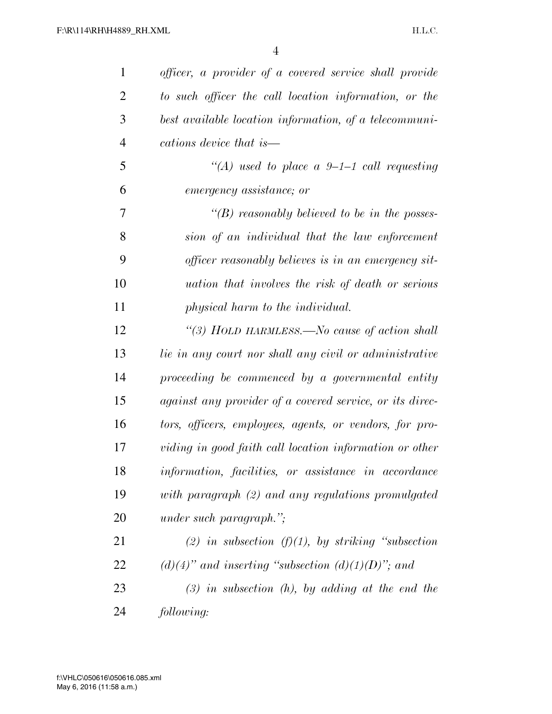| $\mathbf{1}$   | officer, a provider of a covered service shall provide   |
|----------------|----------------------------------------------------------|
| $\overline{2}$ | to such officer the call location information, or the    |
| 3              | best available location information, of a telecommuni-   |
| $\overline{4}$ | cations device that is—                                  |
| 5              | "(A) used to place a 9-1-1 call requesting               |
| 6              | emergency assistance; or                                 |
| 7              | $\lq\lq(B)$ reasonably believed to be in the posses-     |
| 8              | sion of an individual that the law enforcement           |
| 9              | officer reasonably believes is in an emergency sit-      |
| 10             | <i>uation that involves the risk of death or serious</i> |
| 11             | physical harm to the individual.                         |
| 12             | "(3) HOLD HARMLESS.—No cause of action shall             |
| 13             | lie in any court nor shall any civil or administrative   |
| 14             | proceeding be commenced by a governmental entity         |
| 15             | against any provider of a covered service, or its direc- |
| 16             | tors, officers, employees, agents, or vendors, for pro-  |
| 17             | viding in good faith call location information or other  |
| 18             | information, facilities, or assistance in accordance     |
| 19             | with paragraph (2) and any regulations promulgated       |
| 20             | <i>under such paragraph.</i> ";                          |
| 21             | (2) in subsection $(f)(1)$ , by striking "subsection"    |
| 22             | $(d)(4)$ " and inserting "subsection $(d)(1)(D)$ "; and  |
| 23             | $(3)$ in subsection $(h)$ , by adding at the end the     |
| 24             | following:                                               |